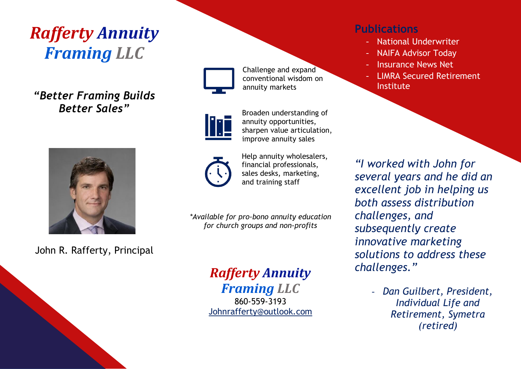# *Rafferty Annuity Framing LLC*

*"Better Framing Builds Better Sales"*



John R. Rafferty, Principal



Challenge and expand conventional wisdom on annuity markets



Broaden understanding of annuity opportunities, sharpen value articulation, improve annuity sales



Help annuity wholesalers, financial professionals, sales desks, marketing, and training staff

*\*Available for pro-bono annuity education for church groups and non-profits*

# *Rafferty Annuity*

*Framing LLC* 860-559-3193 [Johnrafferty@outlook.com](mailto:Johnrafferty@outlook.com)

#### **Publications**

- National Underwriter
- NAIFA Advisor Today
- Insurance News Net
- LIMRA Secured Retirement Institute

*"I worked with John for several years and he did an excellent job in helping us both assess distribution challenges, and subsequently create innovative marketing solutions to address these challenges."*

> - *Dan Guilbert, President, Individual Life and Retirement, Symetra (retired)*